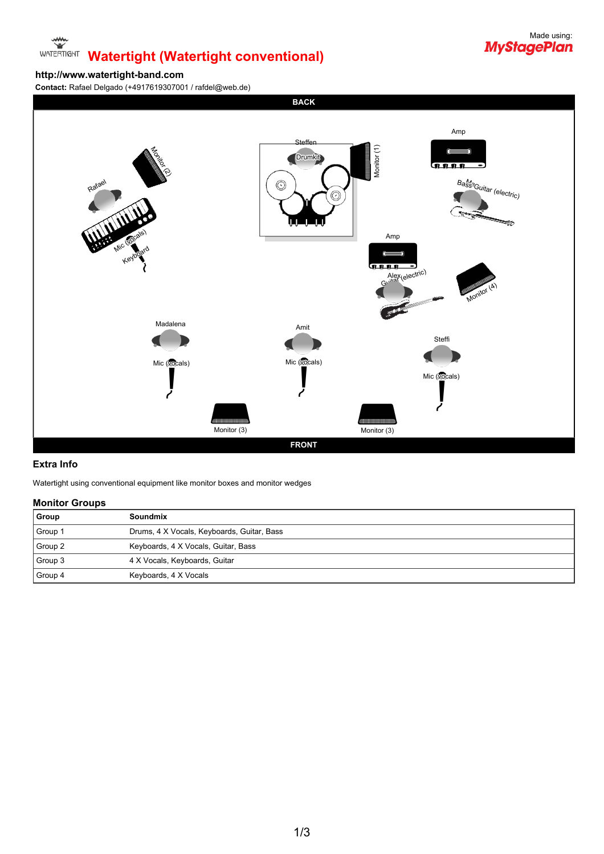# **WATERTIGNT Watertight (Watertight conventional)**



### **http://www.watertight-band.com**

**Contact:** Rafael Delgado (+4917619307001 / rafdel@web.de)



#### **Extra Info**

Watertight using conventional equipment like monitor boxes and monitor wedges

#### **Monitor Groups**

| Group   | <b>Soundmix</b>                            |
|---------|--------------------------------------------|
| Group 1 | Drums, 4 X Vocals, Keyboards, Guitar, Bass |
| Group 2 | Keyboards, 4 X Vocals, Guitar, Bass        |
| Group 3 | 4 X Vocals, Keyboards, Guitar              |
| Group 4 | Keyboards, 4 X Vocals                      |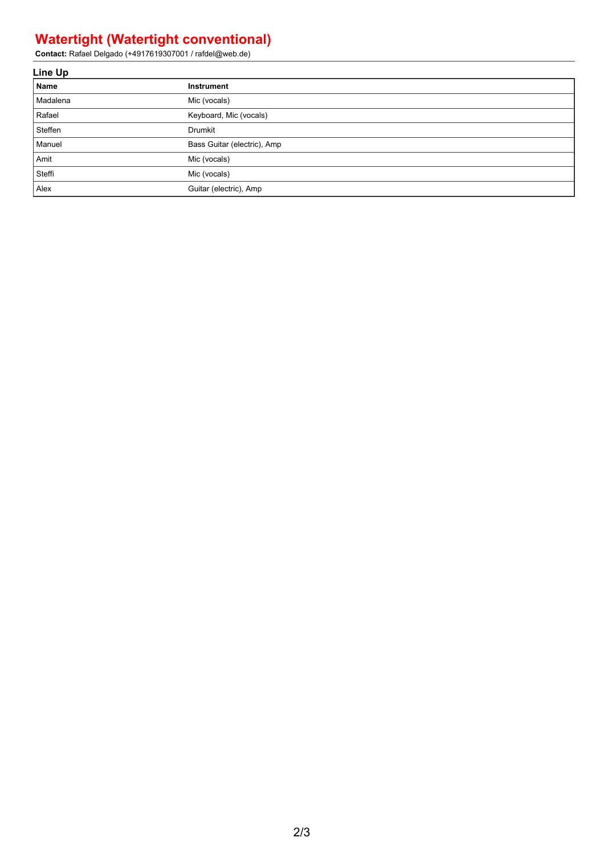## **Watertight (Watertight conventional)**

**Contact:** Rafael Delgado (+4917619307001 / rafdel@web.de)

| Line Up  |                             |  |  |  |
|----------|-----------------------------|--|--|--|
| Name     | Instrument                  |  |  |  |
| Madalena | Mic (vocals)                |  |  |  |
| Rafael   | Keyboard, Mic (vocals)      |  |  |  |
| Steffen  | Drumkit                     |  |  |  |
| Manuel   | Bass Guitar (electric), Amp |  |  |  |
| Amit     | Mic (vocals)                |  |  |  |
| Steffi   | Mic (vocals)                |  |  |  |
| Alex     | Guitar (electric), Amp      |  |  |  |